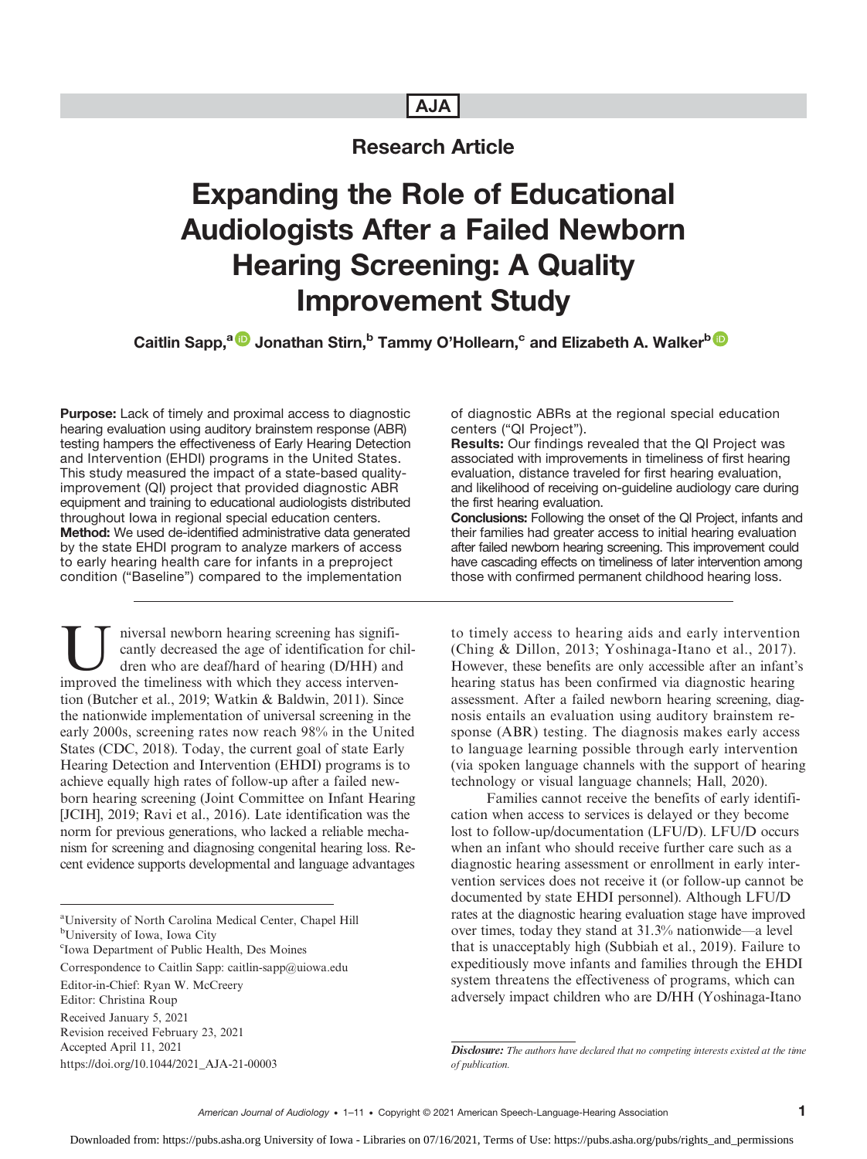# AJA

# Research Article

# Expanding the Role of Educational Audiologists After a Failed Newborn Hearing Screening: A Quality Improvement Study

Caitlin Sapp,<sup>a D</sup> Jonathan Stirn,<sup>b</sup> Tammy O'Hollearn,<sup>c</sup> and Elizabeth A. Walker<sup>b D</sup>

Purpose: Lack of timely and proximal access to diagnostic hearing evaluation using auditory brainstem response (ABR) testing hampers the effectiveness of Early Hearing Detection and Intervention (EHDI) programs in the United States. This study measured the impact of a state-based qualityimprovement (QI) project that provided diagnostic ABR equipment and training to educational audiologists distributed throughout Iowa in regional special education centers. Method: We used de-identified administrative data generated by the state EHDI program to analyze markers of access to early hearing health care for infants in a preproject condition ("Baseline") compared to the implementation

Inversal newborn hearing screening has significantly decreased the age of identification for clare the time who are deaf/hard of hearing (D/HH) and improved the timeliness with which they access intervencantly decreased the age of identification for children who are deaf/hard of hearing (D/HH) and improved the timeliness with which they access intervention (Butcher et al., 2019; Watkin & Baldwin, 2011). Since the nationwide implementation of universal screening in the early 2000s, screening rates now reach 98% in the United States (CDC, 2018). Today, the current goal of state Early Hearing Detection and Intervention (EHDI) programs is to achieve equally high rates of follow-up after a failed newborn hearing screening (Joint Committee on Infant Hearing [JCIH], 2019; Ravi et al., 2016). Late identification was the norm for previous generations, who lacked a reliable mechanism for screening and diagnosing congenital hearing loss. Recent evidence supports developmental and language advantages

a University of North Carolina Medical Center, Chapel Hill

b University of Iowa, Iowa City

c Iowa Department of Public Health, Des Moines

Correspondence to Caitlin Sapp: caitlin-sapp@uiowa.edu

Editor-in-Chief: Ryan W. McCreery

Editor: Christina Roup

Received January 5, 2021 Revision received February 23, 2021

Accepted April 11, 2021

https://doi.org/10.1044/2021\_AJA-21-00003

of diagnostic ABRs at the regional special education centers ("QI Project").

Results: Our findings revealed that the QI Project was associated with improvements in timeliness of first hearing evaluation, distance traveled for first hearing evaluation, and likelihood of receiving on-guideline audiology care during the first hearing evaluation.

Conclusions: Following the onset of the QI Project, infants and their families had greater access to initial hearing evaluation after failed newborn hearing screening. This improvement could have cascading effects on timeliness of later intervention among those with confirmed permanent childhood hearing loss.

to timely access to hearing aids and early intervention (Ching & Dillon, 2013; Yoshinaga-Itano et al., 2017). However, these benefits are only accessible after an infant's hearing status has been confirmed via diagnostic hearing assessment. After a failed newborn hearing screening, diagnosis entails an evaluation using auditory brainstem response (ABR) testing. The diagnosis makes early access to language learning possible through early intervention (via spoken language channels with the support of hearing technology or visual language channels; Hall, 2020).

Families cannot receive the benefits of early identification when access to services is delayed or they become lost to follow-up/documentation (LFU/D). LFU/D occurs when an infant who should receive further care such as a diagnostic hearing assessment or enrollment in early intervention services does not receive it (or follow-up cannot be documented by state EHDI personnel). Although LFU/D rates at the diagnostic hearing evaluation stage have improved over times, today they stand at 31.3% nationwide—a level that is unacceptably high (Subbiah et al., 2019). Failure to expeditiously move infants and families through the EHDI system threatens the effectiveness of programs, which can adversely impact children who are D/HH (Yoshinaga-Itano

Disclosure: The authors have declared that no competing interests existed at the time of publication.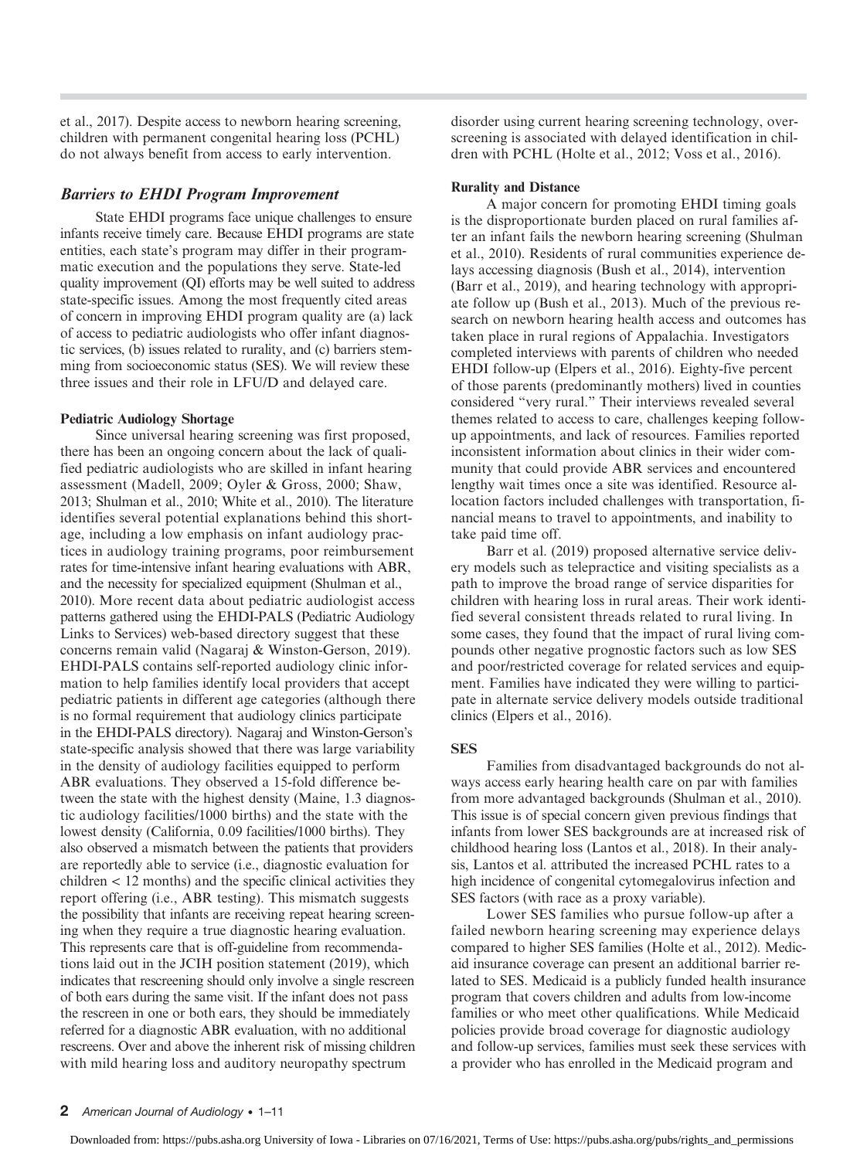et al., 2017). Despite access to newborn hearing screening, children with permanent congenital hearing loss (PCHL) do not always benefit from access to early intervention.

#### Barriers to EHDI Program Improvement

State EHDI programs face unique challenges to ensure infants receive timely care. Because EHDI programs are state entities, each state's program may differ in their programmatic execution and the populations they serve. State-led quality improvement (QI) efforts may be well suited to address state-specific issues. Among the most frequently cited areas of concern in improving EHDI program quality are (a) lack of access to pediatric audiologists who offer infant diagnostic services, (b) issues related to rurality, and (c) barriers stemming from socioeconomic status (SES). We will review these three issues and their role in LFU/D and delayed care.

#### Pediatric Audiology Shortage

Since universal hearing screening was first proposed, there has been an ongoing concern about the lack of qualified pediatric audiologists who are skilled in infant hearing assessment (Madell, 2009; Oyler & Gross, 2000; Shaw, 2013; Shulman et al., 2010; White et al., 2010). The literature identifies several potential explanations behind this shortage, including a low emphasis on infant audiology practices in audiology training programs, poor reimbursement rates for time-intensive infant hearing evaluations with ABR, and the necessity for specialized equipment (Shulman et al., 2010). More recent data about pediatric audiologist access patterns gathered using the EHDI-PALS (Pediatric Audiology Links to Services) web-based directory suggest that these concerns remain valid (Nagaraj & Winston-Gerson, 2019). EHDI-PALS contains self-reported audiology clinic information to help families identify local providers that accept pediatric patients in different age categories (although there is no formal requirement that audiology clinics participate in the EHDI-PALS directory). Nagaraj and Winston-Gerson's state-specific analysis showed that there was large variability in the density of audiology facilities equipped to perform ABR evaluations. They observed a 15-fold difference between the state with the highest density (Maine, 1.3 diagnostic audiology facilities/1000 births) and the state with the lowest density (California, 0.09 facilities/1000 births). They also observed a mismatch between the patients that providers are reportedly able to service (i.e., diagnostic evaluation for children < 12 months) and the specific clinical activities they report offering (i.e., ABR testing). This mismatch suggests the possibility that infants are receiving repeat hearing screening when they require a true diagnostic hearing evaluation. This represents care that is off-guideline from recommendations laid out in the JCIH position statement (2019), which indicates that rescreening should only involve a single rescreen of both ears during the same visit. If the infant does not pass the rescreen in one or both ears, they should be immediately referred for a diagnostic ABR evaluation, with no additional rescreens. Over and above the inherent risk of missing children with mild hearing loss and auditory neuropathy spectrum

disorder using current hearing screening technology, overscreening is associated with delayed identification in children with PCHL (Holte et al., 2012; Voss et al., 2016).

#### Rurality and Distance

A major concern for promoting EHDI timing goals is the disproportionate burden placed on rural families after an infant fails the newborn hearing screening (Shulman et al., 2010). Residents of rural communities experience delays accessing diagnosis (Bush et al., 2014), intervention (Barr et al., 2019), and hearing technology with appropriate follow up (Bush et al., 2013). Much of the previous research on newborn hearing health access and outcomes has taken place in rural regions of Appalachia. Investigators completed interviews with parents of children who needed EHDI follow-up (Elpers et al., 2016). Eighty-five percent of those parents (predominantly mothers) lived in counties considered "very rural." Their interviews revealed several themes related to access to care, challenges keeping followup appointments, and lack of resources. Families reported inconsistent information about clinics in their wider community that could provide ABR services and encountered lengthy wait times once a site was identified. Resource allocation factors included challenges with transportation, financial means to travel to appointments, and inability to take paid time off.

Barr et al. (2019) proposed alternative service delivery models such as telepractice and visiting specialists as a path to improve the broad range of service disparities for children with hearing loss in rural areas. Their work identified several consistent threads related to rural living. In some cases, they found that the impact of rural living compounds other negative prognostic factors such as low SES and poor/restricted coverage for related services and equipment. Families have indicated they were willing to participate in alternate service delivery models outside traditional clinics (Elpers et al., 2016).

#### **SES**

Families from disadvantaged backgrounds do not always access early hearing health care on par with families from more advantaged backgrounds (Shulman et al., 2010). This issue is of special concern given previous findings that infants from lower SES backgrounds are at increased risk of childhood hearing loss (Lantos et al., 2018). In their analysis, Lantos et al. attributed the increased PCHL rates to a high incidence of congenital cytomegalovirus infection and SES factors (with race as a proxy variable).

Lower SES families who pursue follow-up after a failed newborn hearing screening may experience delays compared to higher SES families (Holte et al., 2012). Medicaid insurance coverage can present an additional barrier related to SES. Medicaid is a publicly funded health insurance program that covers children and adults from low-income families or who meet other qualifications. While Medicaid policies provide broad coverage for diagnostic audiology and follow-up services, families must seek these services with a provider who has enrolled in the Medicaid program and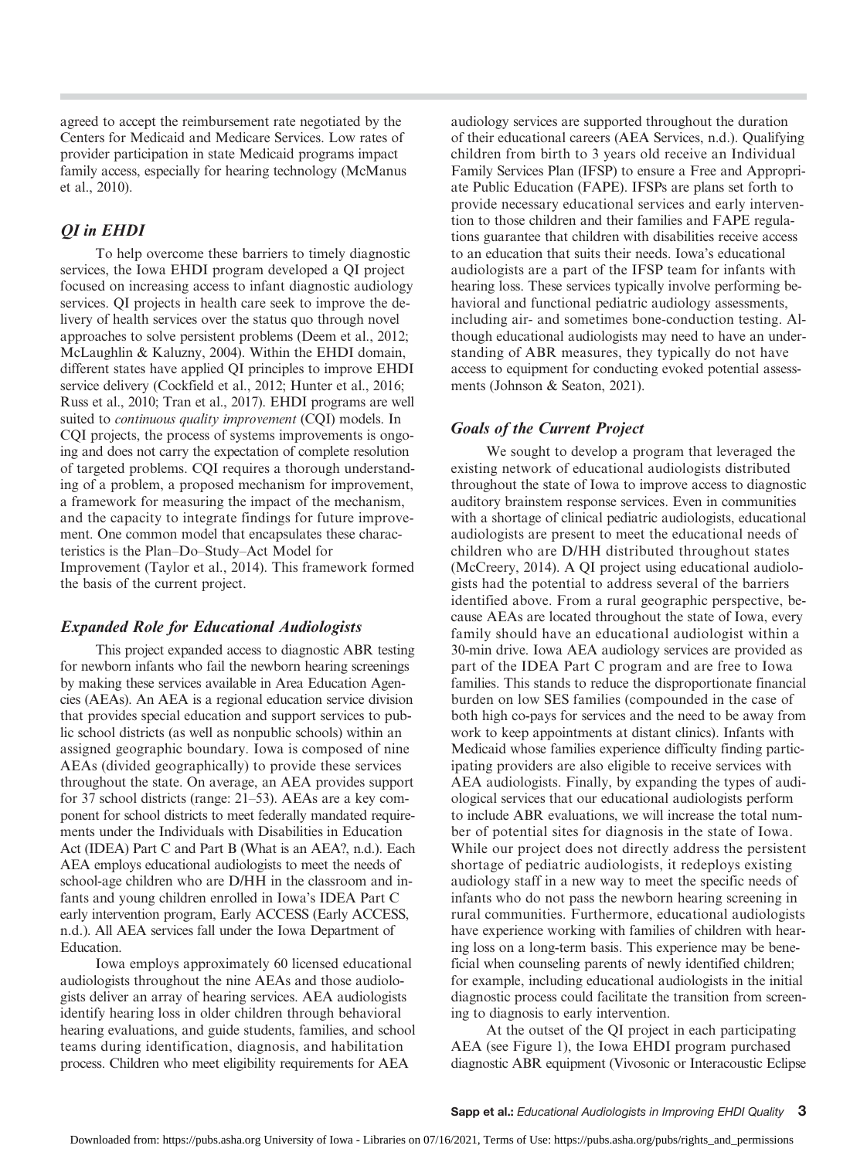agreed to accept the reimbursement rate negotiated by the Centers for Medicaid and Medicare Services. Low rates of provider participation in state Medicaid programs impact family access, especially for hearing technology (McManus et al., 2010).

# QI in EHDI

To help overcome these barriers to timely diagnostic services, the Iowa EHDI program developed a QI project focused on increasing access to infant diagnostic audiology services. QI projects in health care seek to improve the delivery of health services over the status quo through novel approaches to solve persistent problems (Deem et al., 2012; McLaughlin & Kaluzny, 2004). Within the EHDI domain, different states have applied QI principles to improve EHDI service delivery (Cockfield et al., 2012; Hunter et al., 2016; Russ et al., 2010; Tran et al., 2017). EHDI programs are well suited to continuous quality improvement (CQI) models. In CQI projects, the process of systems improvements is ongoing and does not carry the expectation of complete resolution of targeted problems. CQI requires a thorough understanding of a problem, a proposed mechanism for improvement, a framework for measuring the impact of the mechanism, and the capacity to integrate findings for future improvement. One common model that encapsulates these characteristics is the Plan–Do–Study–Act Model for Improvement (Taylor et al., 2014). This framework formed the basis of the current project.

#### Expanded Role for Educational Audiologists

This project expanded access to diagnostic ABR testing for newborn infants who fail the newborn hearing screenings by making these services available in Area Education Agencies (AEAs). An AEA is a regional education service division that provides special education and support services to public school districts (as well as nonpublic schools) within an assigned geographic boundary. Iowa is composed of nine AEAs (divided geographically) to provide these services throughout the state. On average, an AEA provides support for 37 school districts (range: 21–53). AEAs are a key component for school districts to meet federally mandated requirements under the Individuals with Disabilities in Education Act (IDEA) Part C and Part B (What is an AEA?, n.d.). Each AEA employs educational audiologists to meet the needs of school-age children who are D/HH in the classroom and infants and young children enrolled in Iowa's IDEA Part C early intervention program, Early ACCESS (Early ACCESS, n.d.). All AEA services fall under the Iowa Department of Education.

Iowa employs approximately 60 licensed educational audiologists throughout the nine AEAs and those audiologists deliver an array of hearing services. AEA audiologists identify hearing loss in older children through behavioral hearing evaluations, and guide students, families, and school teams during identification, diagnosis, and habilitation process. Children who meet eligibility requirements for AEA

audiology services are supported throughout the duration of their educational careers (AEA Services, n.d.). Qualifying children from birth to 3 years old receive an Individual Family Services Plan (IFSP) to ensure a Free and Appropriate Public Education (FAPE). IFSPs are plans set forth to provide necessary educational services and early intervention to those children and their families and FAPE regulations guarantee that children with disabilities receive access to an education that suits their needs. Iowa's educational audiologists are a part of the IFSP team for infants with hearing loss. These services typically involve performing behavioral and functional pediatric audiology assessments, including air- and sometimes bone-conduction testing. Although educational audiologists may need to have an understanding of ABR measures, they typically do not have access to equipment for conducting evoked potential assessments (Johnson & Seaton, 2021).

#### Goals of the Current Project

We sought to develop a program that leveraged the existing network of educational audiologists distributed throughout the state of Iowa to improve access to diagnostic auditory brainstem response services. Even in communities with a shortage of clinical pediatric audiologists, educational audiologists are present to meet the educational needs of children who are D/HH distributed throughout states (McCreery, 2014). A QI project using educational audiologists had the potential to address several of the barriers identified above. From a rural geographic perspective, because AEAs are located throughout the state of Iowa, every family should have an educational audiologist within a 30-min drive. Iowa AEA audiology services are provided as part of the IDEA Part C program and are free to Iowa families. This stands to reduce the disproportionate financial burden on low SES families (compounded in the case of both high co-pays for services and the need to be away from work to keep appointments at distant clinics). Infants with Medicaid whose families experience difficulty finding participating providers are also eligible to receive services with AEA audiologists. Finally, by expanding the types of audiological services that our educational audiologists perform to include ABR evaluations, we will increase the total number of potential sites for diagnosis in the state of Iowa. While our project does not directly address the persistent shortage of pediatric audiologists, it redeploys existing audiology staff in a new way to meet the specific needs of infants who do not pass the newborn hearing screening in rural communities. Furthermore, educational audiologists have experience working with families of children with hearing loss on a long-term basis. This experience may be beneficial when counseling parents of newly identified children; for example, including educational audiologists in the initial diagnostic process could facilitate the transition from screening to diagnosis to early intervention.

At the outset of the QI project in each participating AEA (see Figure 1), the Iowa EHDI program purchased diagnostic ABR equipment (Vivosonic or Interacoustic Eclipse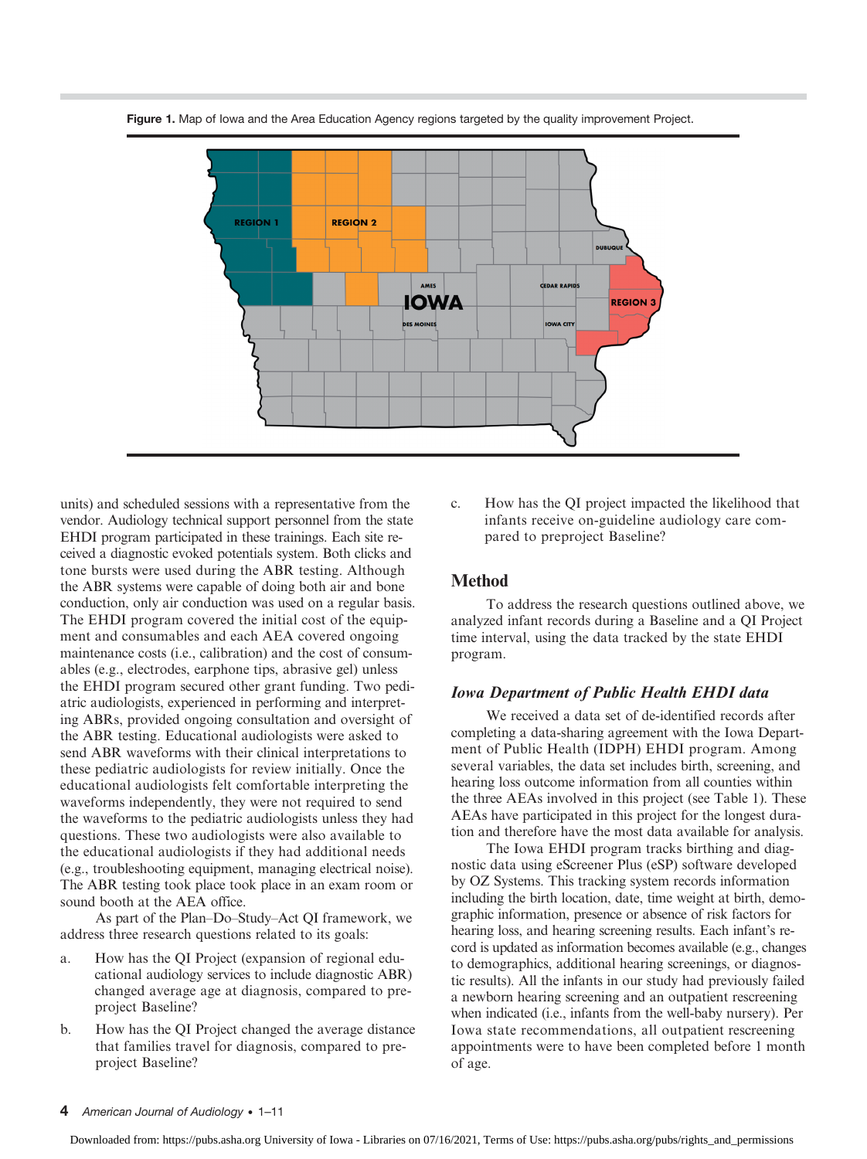

Figure 1. Map of Iowa and the Area Education Agency regions targeted by the quality improvement Project.

units) and scheduled sessions with a representative from the vendor. Audiology technical support personnel from the state EHDI program participated in these trainings. Each site received a diagnostic evoked potentials system. Both clicks and tone bursts were used during the ABR testing. Although the ABR systems were capable of doing both air and bone conduction, only air conduction was used on a regular basis. The EHDI program covered the initial cost of the equipment and consumables and each AEA covered ongoing maintenance costs (i.e., calibration) and the cost of consumables (e.g., electrodes, earphone tips, abrasive gel) unless the EHDI program secured other grant funding. Two pediatric audiologists, experienced in performing and interpreting ABRs, provided ongoing consultation and oversight of the ABR testing. Educational audiologists were asked to send ABR waveforms with their clinical interpretations to these pediatric audiologists for review initially. Once the educational audiologists felt comfortable interpreting the waveforms independently, they were not required to send the waveforms to the pediatric audiologists unless they had questions. These two audiologists were also available to the educational audiologists if they had additional needs (e.g., troubleshooting equipment, managing electrical noise). The ABR testing took place took place in an exam room or sound booth at the AEA office.

As part of the Plan–Do–Study–Act QI framework, we address three research questions related to its goals:

- a. How has the QI Project (expansion of regional educational audiology services to include diagnostic ABR) changed average age at diagnosis, compared to preproject Baseline?
- b. How has the QI Project changed the average distance that families travel for diagnosis, compared to preproject Baseline?

c. How has the QI project impacted the likelihood that infants receive on-guideline audiology care compared to preproject Baseline?

#### Method

To address the research questions outlined above, we analyzed infant records during a Baseline and a QI Project time interval, using the data tracked by the state EHDI program.

#### Iowa Department of Public Health EHDI data

We received a data set of de-identified records after completing a data-sharing agreement with the Iowa Department of Public Health (IDPH) EHDI program. Among several variables, the data set includes birth, screening, and hearing loss outcome information from all counties within the three AEAs involved in this project (see Table 1). These AEAs have participated in this project for the longest duration and therefore have the most data available for analysis.

The Iowa EHDI program tracks birthing and diagnostic data using eScreener Plus (eSP) software developed by OZ Systems. This tracking system records information including the birth location, date, time weight at birth, demographic information, presence or absence of risk factors for hearing loss, and hearing screening results. Each infant's record is updated as information becomes available (e.g., changes to demographics, additional hearing screenings, or diagnostic results). All the infants in our study had previously failed a newborn hearing screening and an outpatient rescreening when indicated (i.e., infants from the well-baby nursery). Per Iowa state recommendations, all outpatient rescreening appointments were to have been completed before 1 month of age.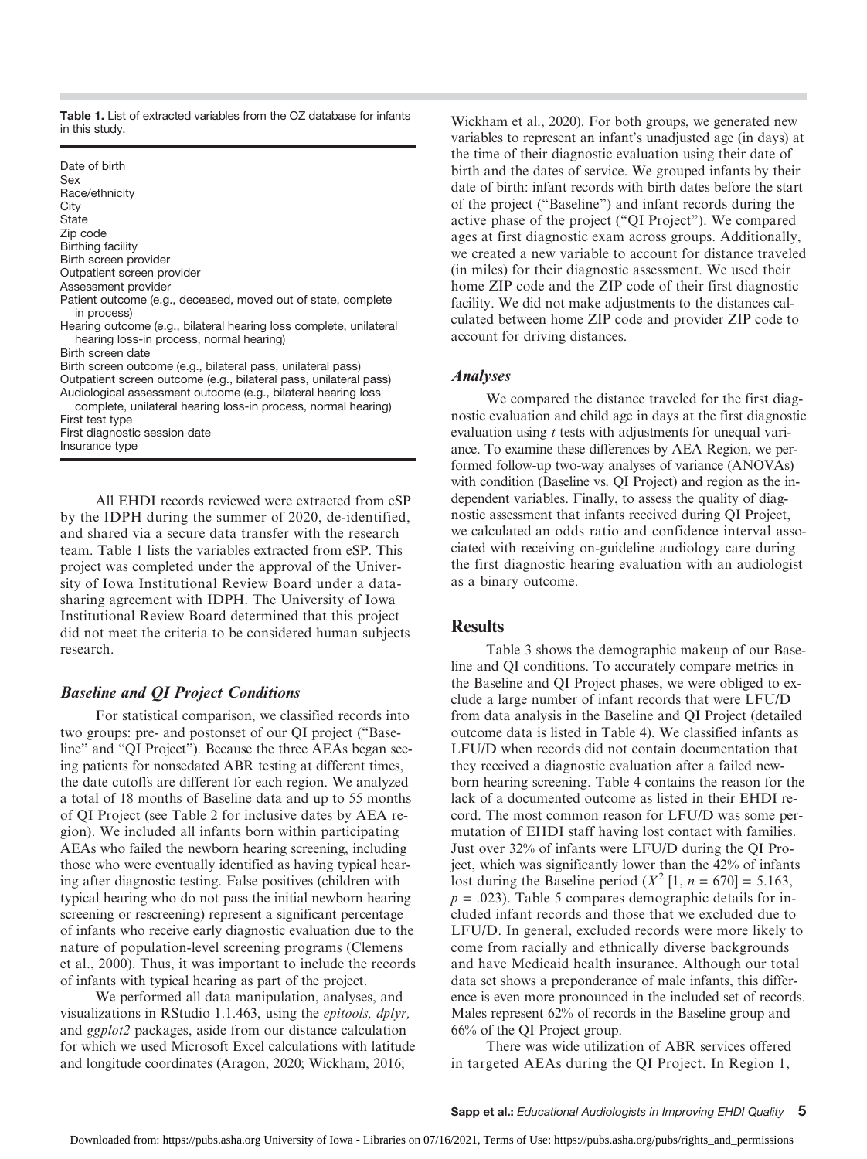Table 1. List of extracted variables from the OZ database for infants in this study.

| Date of birth<br>Sex<br>Race/ethnicity<br>City<br>State<br>Zip code<br>Birthing facility<br>Birth screen provider<br>Outpatient screen provider<br>Assessment provider<br>Patient outcome (e.g., deceased, moved out of state, complete                                                                                                   |
|-------------------------------------------------------------------------------------------------------------------------------------------------------------------------------------------------------------------------------------------------------------------------------------------------------------------------------------------|
| in process)<br>Hearing outcome (e.g., bilateral hearing loss complete, unilateral<br>hearing loss-in process, normal hearing)<br>Birth screen date                                                                                                                                                                                        |
| Birth screen outcome (e.g., bilateral pass, unilateral pass)<br>Outpatient screen outcome (e.g., bilateral pass, unilateral pass)<br>Audiological assessment outcome (e.g., bilateral hearing loss<br>complete, unilateral hearing loss-in process, normal hearing)<br>First test type<br>First diagnostic session date<br>Insurance type |

All EHDI records reviewed were extracted from eSP by the IDPH during the summer of 2020, de-identified, and shared via a secure data transfer with the research team. Table 1 lists the variables extracted from eSP. This project was completed under the approval of the University of Iowa Institutional Review Board under a datasharing agreement with IDPH. The University of Iowa Institutional Review Board determined that this project did not meet the criteria to be considered human subjects research.

#### Baseline and QI Project Conditions

For statistical comparison, we classified records into two groups: pre- and postonset of our QI project ("Baseline" and "QI Project"). Because the three AEAs began seeing patients for nonsedated ABR testing at different times, the date cutoffs are different for each region. We analyzed a total of 18 months of Baseline data and up to 55 months of QI Project (see Table 2 for inclusive dates by AEA region). We included all infants born within participating AEAs who failed the newborn hearing screening, including those who were eventually identified as having typical hearing after diagnostic testing. False positives (children with typical hearing who do not pass the initial newborn hearing screening or rescreening) represent a significant percentage of infants who receive early diagnostic evaluation due to the nature of population-level screening programs (Clemens et al., 2000). Thus, it was important to include the records of infants with typical hearing as part of the project.

We performed all data manipulation, analyses, and visualizations in RStudio 1.1.463, using the epitools, dplyr, and ggplot2 packages, aside from our distance calculation for which we used Microsoft Excel calculations with latitude and longitude coordinates (Aragon, 2020; Wickham, 2016;

Wickham et al., 2020). For both groups, we generated new variables to represent an infant's unadjusted age (in days) at the time of their diagnostic evaluation using their date of birth and the dates of service. We grouped infants by their date of birth: infant records with birth dates before the start of the project ("Baseline") and infant records during the active phase of the project ("QI Project"). We compared ages at first diagnostic exam across groups. Additionally, we created a new variable to account for distance traveled (in miles) for their diagnostic assessment. We used their home ZIP code and the ZIP code of their first diagnostic facility. We did not make adjustments to the distances calculated between home ZIP code and provider ZIP code to account for driving distances.

#### Analyses

We compared the distance traveled for the first diagnostic evaluation and child age in days at the first diagnostic evaluation using t tests with adjustments for unequal variance. To examine these differences by AEA Region, we performed follow-up two-way analyses of variance (ANOVAs) with condition (Baseline vs. QI Project) and region as the independent variables. Finally, to assess the quality of diagnostic assessment that infants received during QI Project, we calculated an odds ratio and confidence interval associated with receiving on-guideline audiology care during the first diagnostic hearing evaluation with an audiologist as a binary outcome.

#### **Results**

Table 3 shows the demographic makeup of our Baseline and QI conditions. To accurately compare metrics in the Baseline and QI Project phases, we were obliged to exclude a large number of infant records that were LFU/D from data analysis in the Baseline and QI Project (detailed outcome data is listed in Table 4). We classified infants as LFU/D when records did not contain documentation that they received a diagnostic evaluation after a failed newborn hearing screening. Table 4 contains the reason for the lack of a documented outcome as listed in their EHDI record. The most common reason for LFU/D was some permutation of EHDI staff having lost contact with families. Just over 32% of infants were LFU/D during the QI Project, which was significantly lower than the 42% of infants lost during the Baseline period  $(X^2 [1, n = 670] = 5.163)$ ,  $p = .023$ ). Table 5 compares demographic details for included infant records and those that we excluded due to LFU/D. In general, excluded records were more likely to come from racially and ethnically diverse backgrounds and have Medicaid health insurance. Although our total data set shows a preponderance of male infants, this difference is even more pronounced in the included set of records. Males represent 62% of records in the Baseline group and 66% of the QI Project group.

There was wide utilization of ABR services offered in targeted AEAs during the QI Project. In Region 1,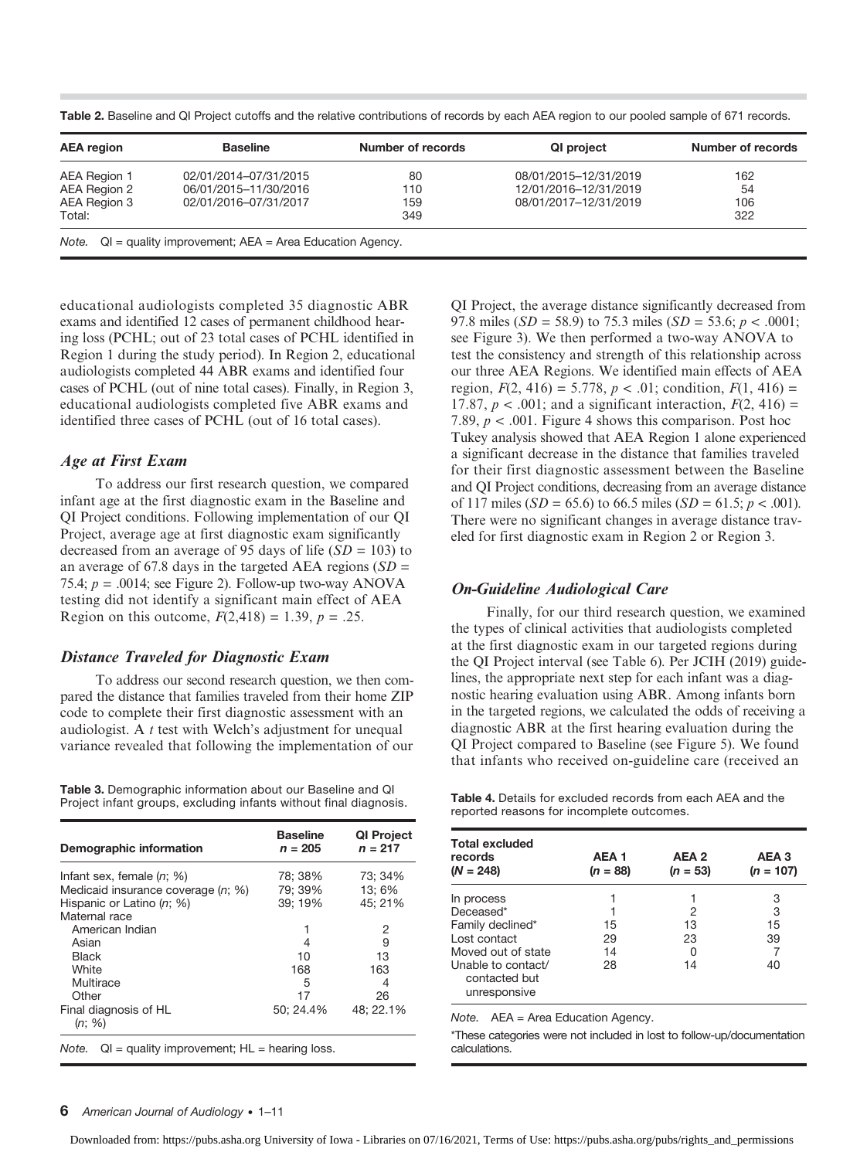| <b>AEA</b> region | <b>Baseline</b>       | Number of records | QI project            | Number of records |
|-------------------|-----------------------|-------------------|-----------------------|-------------------|
| AEA Region 1      | 02/01/2014-07/31/2015 | 80                | 08/01/2015-12/31/2019 | 162               |
| AEA Region 2      | 06/01/2015-11/30/2016 | 110               | 12/01/2016-12/31/2019 | 54                |
| AEA Region 3      | 02/01/2016-07/31/2017 | 159               | 08/01/2017-12/31/2019 | 106               |
| Total:            |                       | 349               |                       | 322               |

Table 2. Baseline and QI Project cutoffs and the relative contributions of records by each AEA region to our pooled sample of 671 records.

educational audiologists completed 35 diagnostic ABR exams and identified 12 cases of permanent childhood hearing loss (PCHL; out of 23 total cases of PCHL identified in Region 1 during the study period). In Region 2, educational audiologists completed 44 ABR exams and identified four cases of PCHL (out of nine total cases). Finally, in Region 3, educational audiologists completed five ABR exams and identified three cases of PCHL (out of 16 total cases).

#### Age at First Exam

To address our first research question, we compared infant age at the first diagnostic exam in the Baseline and QI Project conditions. Following implementation of our QI Project, average age at first diagnostic exam significantly decreased from an average of 95 days of life  $(SD = 103)$  to an average of 67.8 days in the targeted AEA regions  $SD =$ 75.4;  $p = .0014$ ; see Figure 2). Follow-up two-way ANOVA testing did not identify a significant main effect of AEA Region on this outcome,  $F(2,418) = 1.39, p = .25$ .

#### Distance Traveled for Diagnostic Exam

To address our second research question, we then compared the distance that families traveled from their home ZIP code to complete their first diagnostic assessment with an audiologist. A t test with Welch's adjustment for unequal variance revealed that following the implementation of our

Table 3. Demographic information about our Baseline and QI Project infant groups, excluding infants without final diagnosis.

| Demographic information            | <b>Baseline</b><br>$n = 205$ | <b>QI Project</b><br>$n = 217$ |
|------------------------------------|------------------------------|--------------------------------|
| Infant sex, female $(n; \%)$       | 78; 38%                      | 73: 34%                        |
| Medicaid insurance coverage (n; %) | 79: 39%                      | 13:6%                          |
| Hispanic or Latino (n; %)          | 39; 19%                      | 45; 21%                        |
| Maternal race                      |                              |                                |
| American Indian                    |                              | 2                              |
| Asian                              | 4                            | 9                              |
| <b>Black</b>                       | 10                           | 13                             |
| White                              | 168                          | 163                            |
| Multirace                          | 5                            | 4                              |
| Other                              | 17                           | 26                             |
| Final diagnosis of HL<br>(n; %)    | 50: 24.4%                    | 48: 22.1%                      |

QI Project, the average distance significantly decreased from 97.8 miles ( $SD = 58.9$ ) to 75.3 miles ( $SD = 53.6$ ;  $p < .0001$ ; see Figure 3). We then performed a two-way ANOVA to test the consistency and strength of this relationship across our three AEA Regions. We identified main effects of AEA region,  $F(2, 416) = 5.778$ ,  $p < .01$ ; condition,  $F(1, 416) =$ 17.87,  $p < .001$ ; and a significant interaction,  $F(2, 416) =$ 7.89,  $p < .001$ . Figure 4 shows this comparison. Post hoc Tukey analysis showed that AEA Region 1 alone experienced a significant decrease in the distance that families traveled for their first diagnostic assessment between the Baseline and QI Project conditions, decreasing from an average distance of 117 miles ( $SD = 65.6$ ) to 66.5 miles ( $SD = 61.5$ ;  $p < .001$ ). There were no significant changes in average distance traveled for first diagnostic exam in Region 2 or Region 3.

## On-Guideline Audiological Care

Finally, for our third research question, we examined the types of clinical activities that audiologists completed at the first diagnostic exam in our targeted regions during the QI Project interval (see Table 6). Per JCIH (2019) guidelines, the appropriate next step for each infant was a diagnostic hearing evaluation using ABR. Among infants born in the targeted regions, we calculated the odds of receiving a diagnostic ABR at the first hearing evaluation during the QI Project compared to Baseline (see Figure 5). We found that infants who received on-guideline care (received an

Table 4. Details for excluded records from each AEA and the reported reasons for incomplete outcomes.

| <b>Total excluded</b><br>records<br>$(N = 248)$     | AEA <sub>1</sub><br>$(n = 88)$ | AEA 2<br>$(n = 53)$ | AEA <sub>3</sub><br>$(n = 107)$ |
|-----------------------------------------------------|--------------------------------|---------------------|---------------------------------|
| In process                                          |                                |                     | 3                               |
| Deceased*                                           |                                | 2                   | 3                               |
| Family declined*                                    | 15                             | 13                  | 15                              |
| Lost contact                                        | 29                             | 23                  | 39                              |
| Moved out of state                                  | 14                             | O                   |                                 |
| Unable to contact/<br>contacted but<br>unresponsive | 28                             | 14                  | 40                              |

Note. AEA = Area Education Agency.

\*These categories were not included in lost to follow-up/documentation calculations.

#### 6 American Journal of Audiology • 1–11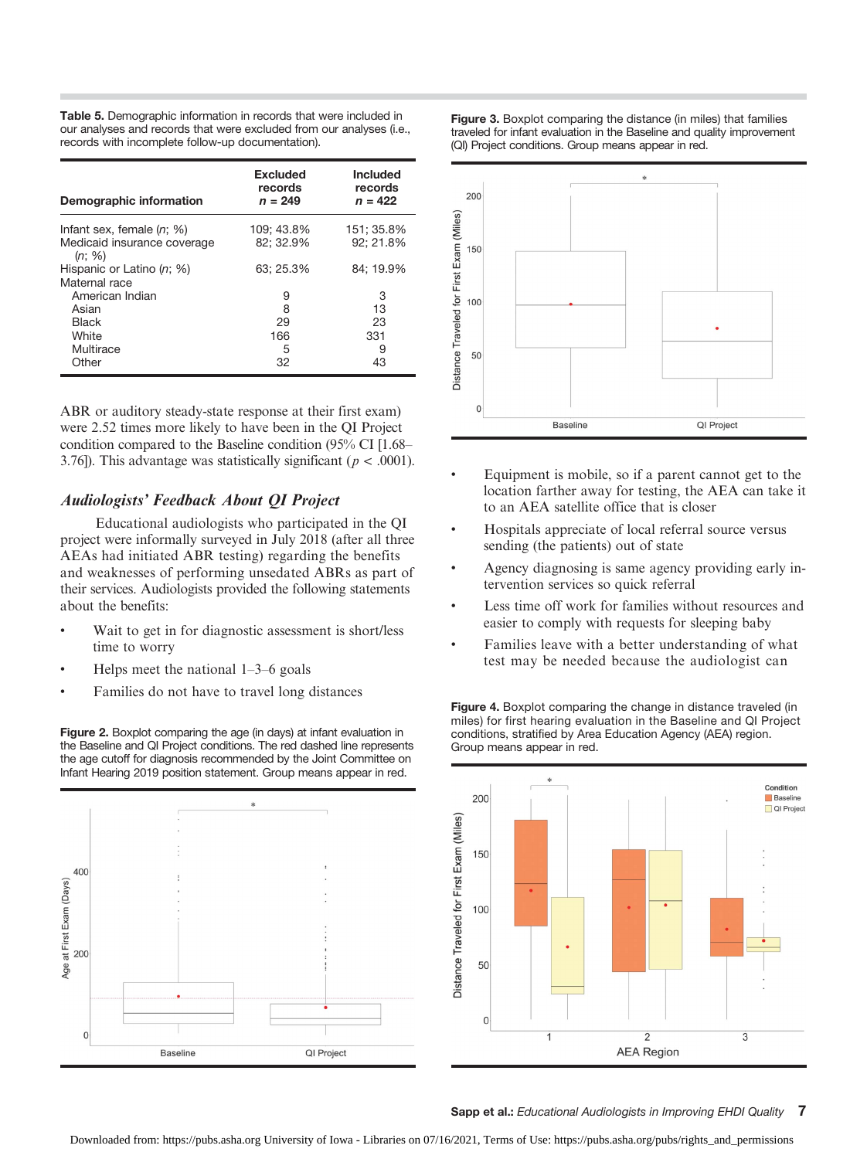Table 5. Demographic information in records that were included in our analyses and records that were excluded from our analyses (i.e., records with incomplete follow-up documentation).

| Demographic information               | <b>Excluded</b><br>records<br>$n = 249$ | <b>Included</b><br>records<br>$n = 422$ |
|---------------------------------------|-----------------------------------------|-----------------------------------------|
| Infant sex, female $(n; \%)$          | 109: 43.8%                              | 151: 35.8%                              |
| Medicaid insurance coverage<br>(n; %) | 82; 32.9%                               | 92: 21.8%                               |
| Hispanic or Latino (n; %)             | 63: 25.3%                               | 84: 19.9%                               |
| Maternal race                         |                                         |                                         |
| American Indian                       | 9                                       | З                                       |
| Asian                                 | 8                                       | 13                                      |
| <b>Black</b>                          | 29                                      | 23                                      |
| White                                 | 166                                     | 331                                     |
| Multirace                             | 5                                       | 9                                       |
| Other                                 | 32                                      | 43                                      |

ABR or auditory steady-state response at their first exam) were 2.52 times more likely to have been in the QI Project condition compared to the Baseline condition (95% CI [1.68– 3.76]). This advantage was statistically significant ( $p < .0001$ ).

#### Audiologists' Feedback About QI Project

Educational audiologists who participated in the QI project were informally surveyed in July 2018 (after all three AEAs had initiated ABR testing) regarding the benefits and weaknesses of performing unsedated ABRs as part of their services. Audiologists provided the following statements about the benefits:

- Wait to get in for diagnostic assessment is short/less time to worry
- Helps meet the national  $1-3-6$  goals
- Families do not have to travel long distances

Figure 2. Boxplot comparing the age (in days) at infant evaluation in the Baseline and QI Project conditions. The red dashed line represents the age cutoff for diagnosis recommended by the Joint Committee on Infant Hearing 2019 position statement. Group means appear in red.



Figure 3. Boxplot comparing the distance (in miles) that families traveled for infant evaluation in the Baseline and quality improvement (QI) Project conditions. Group means appear in red.



- Equipment is mobile, so if a parent cannot get to the location farther away for testing, the AEA can take it to an AEA satellite office that is closer
- Hospitals appreciate of local referral source versus sending (the patients) out of state
- Agency diagnosing is same agency providing early intervention services so quick referral
- Less time off work for families without resources and easier to comply with requests for sleeping baby
- Families leave with a better understanding of what test may be needed because the audiologist can

Figure 4. Boxplot comparing the change in distance traveled (in miles) for first hearing evaluation in the Baseline and QI Project conditions, stratified by Area Education Agency (AEA) region. Group means appear in red.



Sapp et al.: Educational Audiologists in Improving EHDI Quality 7

Downloaded from: https://pubs.asha.org University of Iowa - Libraries on 07/16/2021, Terms of Use: https://pubs.asha.org/pubs/rights\_and\_permissions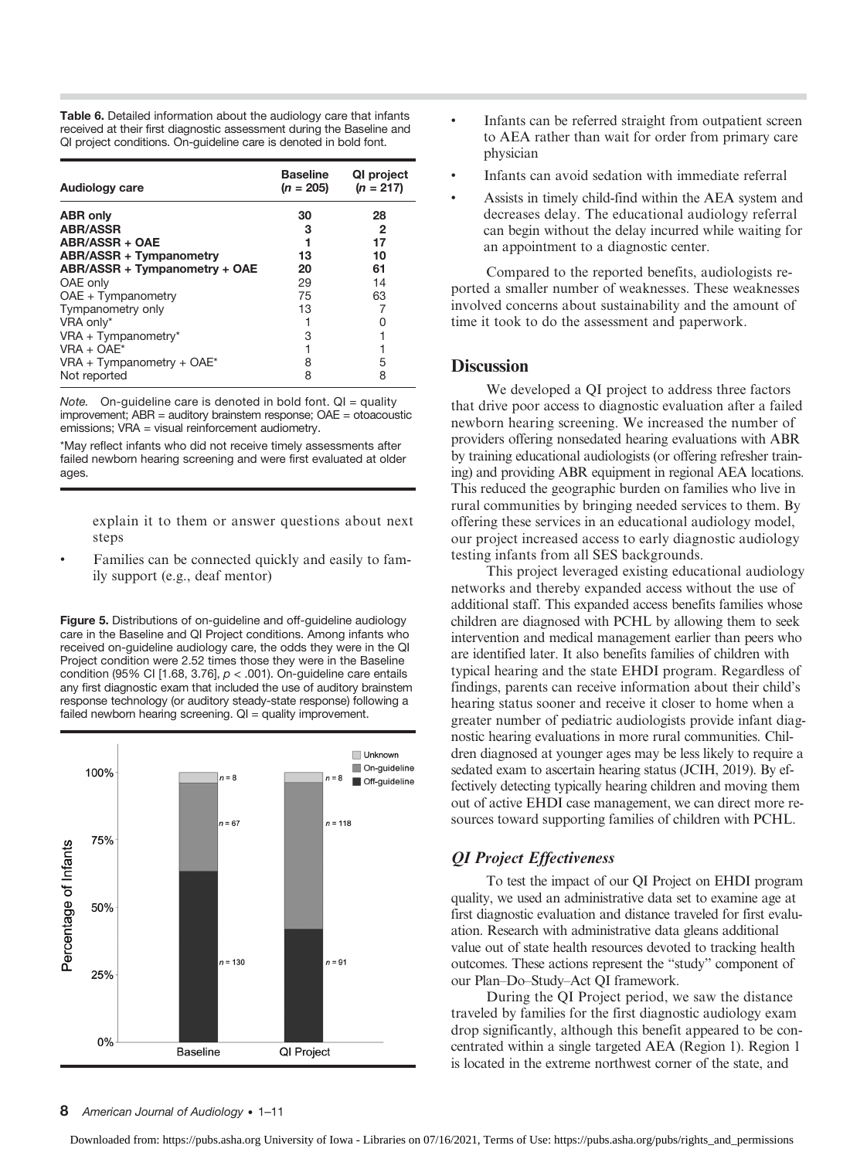Table 6. Detailed information about the audiology care that infants received at their first diagnostic assessment during the Baseline and QI project conditions. On-guideline care is denoted in bold font.

| <b>Audiology care</b>          | Baseline<br>$(n = 205)$ | QI project<br>$(n = 217)$ |
|--------------------------------|-------------------------|---------------------------|
| <b>ABR only</b>                | 30                      | 28                        |
| <b>ABR/ASSR</b>                | 3                       | 2                         |
| ABR/ASSR + OAE                 | 1                       | 17                        |
| <b>ABR/ASSR + Tympanometry</b> | 13                      | 10                        |
| ABR/ASSR + Tympanometry + OAE  | 20                      | 61                        |
| OAE only                       | 29                      | 14                        |
| $OAE + Tympanometry$           | 75                      | 63                        |
| Tympanometry only              | 13                      | 7                         |
| VRA only*                      |                         | O                         |
| $VRA + Tympanometry*$          | 3                       |                           |
| $VRA + OAE*$                   |                         |                           |
| VRA + Tympanometry + $OAE^*$   | 8                       | 5                         |
| Not reported                   | 8                       | 8                         |

Note. On-guideline care is denoted in bold font.  $QI =$  quality improvement; ABR = auditory brainstem response; OAE = otoacoustic emissions; VRA = visual reinforcement audiometry.

\*May reflect infants who did not receive timely assessments after failed newborn hearing screening and were first evaluated at older ages.

explain it to them or answer questions about next steps

• Families can be connected quickly and easily to family support (e.g., deaf mentor)

Figure 5. Distributions of on-guideline and off-guideline audiology care in the Baseline and QI Project conditions. Among infants who received on-guideline audiology care, the odds they were in the QI Project condition were 2.52 times those they were in the Baseline condition (95% CI [1.68, 3.76],  $p < .001$ ). On-guideline care entails any first diagnostic exam that included the use of auditory brainstem response technology (or auditory steady-state response) following a failed newborn hearing screening. QI = quality improvement.



- Infants can be referred straight from outpatient screen to AEA rather than wait for order from primary care physician
- Infants can avoid sedation with immediate referral
- Assists in timely child-find within the AEA system and decreases delay. The educational audiology referral can begin without the delay incurred while waiting for an appointment to a diagnostic center.

Compared to the reported benefits, audiologists reported a smaller number of weaknesses. These weaknesses involved concerns about sustainability and the amount of time it took to do the assessment and paperwork.

#### **Discussion**

We developed a QI project to address three factors that drive poor access to diagnostic evaluation after a failed newborn hearing screening. We increased the number of providers offering nonsedated hearing evaluations with ABR by training educational audiologists (or offering refresher training) and providing ABR equipment in regional AEA locations. This reduced the geographic burden on families who live in rural communities by bringing needed services to them. By offering these services in an educational audiology model, our project increased access to early diagnostic audiology testing infants from all SES backgrounds.

This project leveraged existing educational audiology networks and thereby expanded access without the use of additional staff. This expanded access benefits families whose children are diagnosed with PCHL by allowing them to seek intervention and medical management earlier than peers who are identified later. It also benefits families of children with typical hearing and the state EHDI program. Regardless of findings, parents can receive information about their child's hearing status sooner and receive it closer to home when a greater number of pediatric audiologists provide infant diagnostic hearing evaluations in more rural communities. Children diagnosed at younger ages may be less likely to require a sedated exam to ascertain hearing status (JCIH, 2019). By effectively detecting typically hearing children and moving them out of active EHDI case management, we can direct more resources toward supporting families of children with PCHL.

#### QI Project Effectiveness

To test the impact of our QI Project on EHDI program quality, we used an administrative data set to examine age at first diagnostic evaluation and distance traveled for first evaluation. Research with administrative data gleans additional value out of state health resources devoted to tracking health outcomes. These actions represent the "study" component of our Plan–Do–Study–Act QI framework.

During the QI Project period, we saw the distance traveled by families for the first diagnostic audiology exam drop significantly, although this benefit appeared to be concentrated within a single targeted AEA (Region 1). Region 1 is located in the extreme northwest corner of the state, and

#### 8 American Journal of Audiology • 1–11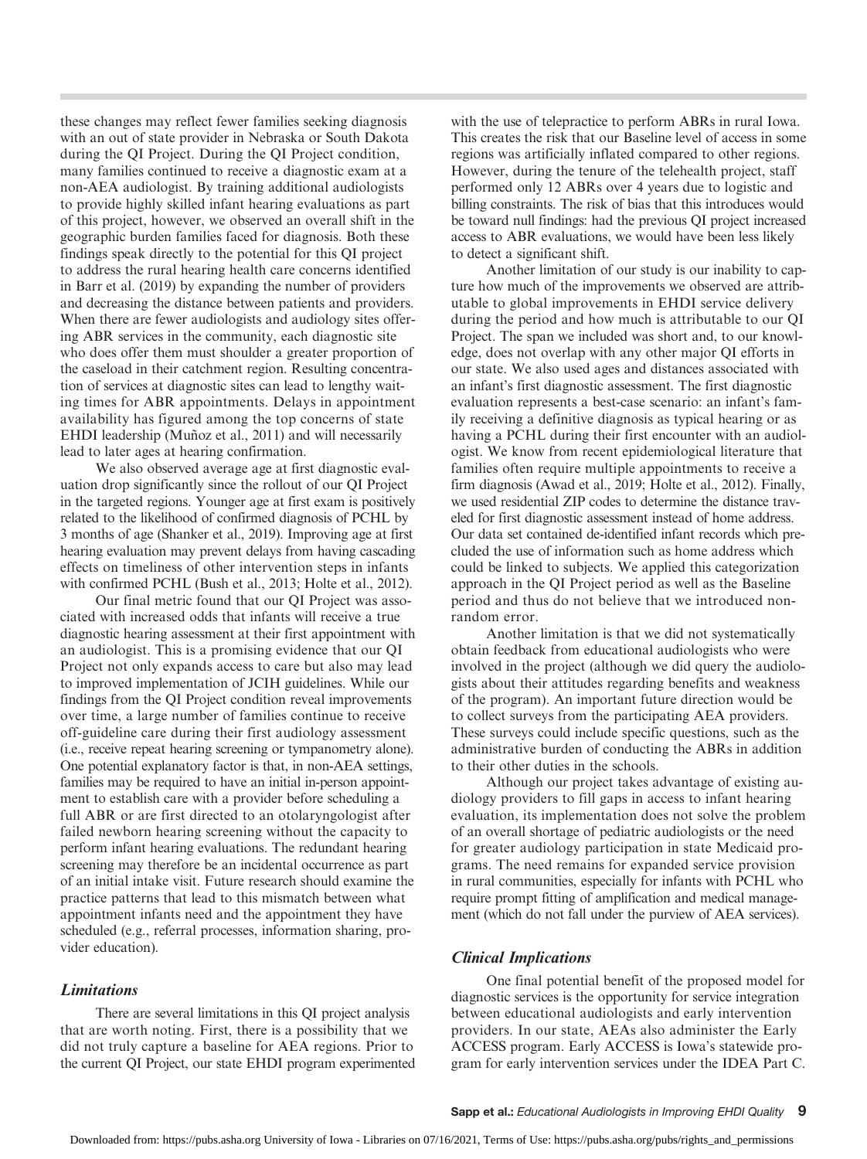these changes may reflect fewer families seeking diagnosis with an out of state provider in Nebraska or South Dakota during the QI Project. During the QI Project condition, many families continued to receive a diagnostic exam at a non-AEA audiologist. By training additional audiologists to provide highly skilled infant hearing evaluations as part of this project, however, we observed an overall shift in the geographic burden families faced for diagnosis. Both these findings speak directly to the potential for this QI project to address the rural hearing health care concerns identified in Barr et al. (2019) by expanding the number of providers and decreasing the distance between patients and providers. When there are fewer audiologists and audiology sites offering ABR services in the community, each diagnostic site who does offer them must shoulder a greater proportion of the caseload in their catchment region. Resulting concentration of services at diagnostic sites can lead to lengthy waiting times for ABR appointments. Delays in appointment availability has figured among the top concerns of state EHDI leadership (Muñoz et al., 2011) and will necessarily lead to later ages at hearing confirmation.

We also observed average age at first diagnostic evaluation drop significantly since the rollout of our QI Project in the targeted regions. Younger age at first exam is positively related to the likelihood of confirmed diagnosis of PCHL by 3 months of age (Shanker et al., 2019). Improving age at first hearing evaluation may prevent delays from having cascading effects on timeliness of other intervention steps in infants with confirmed PCHL (Bush et al., 2013; Holte et al., 2012).

Our final metric found that our QI Project was associated with increased odds that infants will receive a true diagnostic hearing assessment at their first appointment with an audiologist. This is a promising evidence that our QI Project not only expands access to care but also may lead to improved implementation of JCIH guidelines. While our findings from the QI Project condition reveal improvements over time, a large number of families continue to receive off-guideline care during their first audiology assessment (i.e., receive repeat hearing screening or tympanometry alone). One potential explanatory factor is that, in non-AEA settings, families may be required to have an initial in-person appointment to establish care with a provider before scheduling a full ABR or are first directed to an otolaryngologist after failed newborn hearing screening without the capacity to perform infant hearing evaluations. The redundant hearing screening may therefore be an incidental occurrence as part of an initial intake visit. Future research should examine the practice patterns that lead to this mismatch between what appointment infants need and the appointment they have scheduled (e.g., referral processes, information sharing, provider education).

#### **Limitations**

There are several limitations in this QI project analysis that are worth noting. First, there is a possibility that we did not truly capture a baseline for AEA regions. Prior to the current QI Project, our state EHDI program experimented with the use of telepractice to perform ABRs in rural Iowa. This creates the risk that our Baseline level of access in some regions was artificially inflated compared to other regions. However, during the tenure of the telehealth project, staff performed only 12 ABRs over 4 years due to logistic and billing constraints. The risk of bias that this introduces would be toward null findings: had the previous QI project increased access to ABR evaluations, we would have been less likely to detect a significant shift.

Another limitation of our study is our inability to capture how much of the improvements we observed are attributable to global improvements in EHDI service delivery during the period and how much is attributable to our QI Project. The span we included was short and, to our knowledge, does not overlap with any other major QI efforts in our state. We also used ages and distances associated with an infant's first diagnostic assessment. The first diagnostic evaluation represents a best-case scenario: an infant's family receiving a definitive diagnosis as typical hearing or as having a PCHL during their first encounter with an audiologist. We know from recent epidemiological literature that families often require multiple appointments to receive a firm diagnosis (Awad et al., 2019; Holte et al., 2012). Finally, we used residential ZIP codes to determine the distance traveled for first diagnostic assessment instead of home address. Our data set contained de-identified infant records which precluded the use of information such as home address which could be linked to subjects. We applied this categorization approach in the QI Project period as well as the Baseline period and thus do not believe that we introduced nonrandom error.

Another limitation is that we did not systematically obtain feedback from educational audiologists who were involved in the project (although we did query the audiologists about their attitudes regarding benefits and weakness of the program). An important future direction would be to collect surveys from the participating AEA providers. These surveys could include specific questions, such as the administrative burden of conducting the ABRs in addition to their other duties in the schools.

Although our project takes advantage of existing audiology providers to fill gaps in access to infant hearing evaluation, its implementation does not solve the problem of an overall shortage of pediatric audiologists or the need for greater audiology participation in state Medicaid programs. The need remains for expanded service provision in rural communities, especially for infants with PCHL who require prompt fitting of amplification and medical management (which do not fall under the purview of AEA services).

#### Clinical Implications

One final potential benefit of the proposed model for diagnostic services is the opportunity for service integration between educational audiologists and early intervention providers. In our state, AEAs also administer the Early ACCESS program. Early ACCESS is Iowa's statewide program for early intervention services under the IDEA Part C.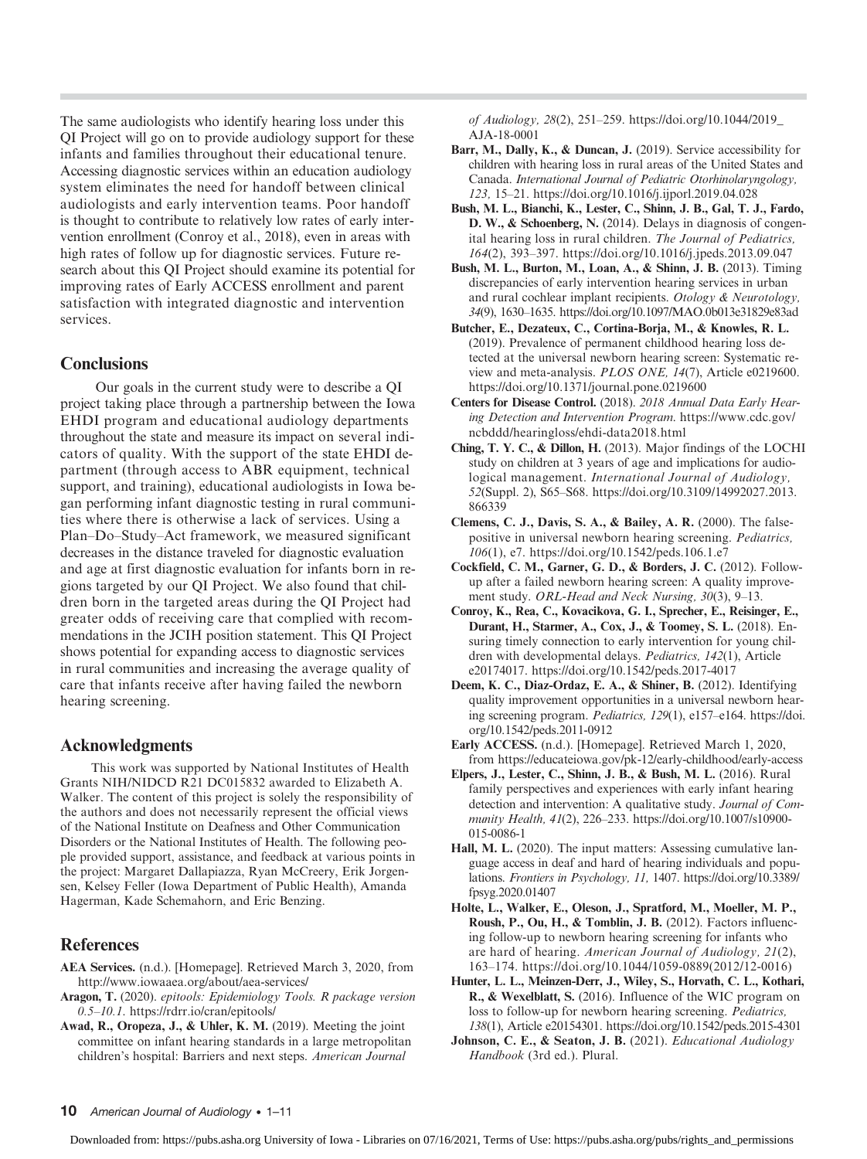The same audiologists who identify hearing loss under this QI Project will go on to provide audiology support for these infants and families throughout their educational tenure. Accessing diagnostic services within an education audiology system eliminates the need for handoff between clinical audiologists and early intervention teams. Poor handoff is thought to contribute to relatively low rates of early intervention enrollment (Conroy et al., 2018), even in areas with high rates of follow up for diagnostic services. Future research about this QI Project should examine its potential for improving rates of Early ACCESS enrollment and parent satisfaction with integrated diagnostic and intervention services.

### **Conclusions**

Our goals in the current study were to describe a QI project taking place through a partnership between the Iowa EHDI program and educational audiology departments throughout the state and measure its impact on several indicators of quality. With the support of the state EHDI department (through access to ABR equipment, technical support, and training), educational audiologists in Iowa began performing infant diagnostic testing in rural communities where there is otherwise a lack of services. Using a Plan–Do–Study–Act framework, we measured significant decreases in the distance traveled for diagnostic evaluation and age at first diagnostic evaluation for infants born in regions targeted by our QI Project. We also found that children born in the targeted areas during the QI Project had greater odds of receiving care that complied with recommendations in the JCIH position statement. This QI Project shows potential for expanding access to diagnostic services in rural communities and increasing the average quality of care that infants receive after having failed the newborn hearing screening.

#### Acknowledgments

This work was supported by National Institutes of Health Grants NIH/NIDCD R21 DC015832 awarded to Elizabeth A. Walker. The content of this project is solely the responsibility of the authors and does not necessarily represent the official views of the National Institute on Deafness and Other Communication Disorders or the National Institutes of Health. The following people provided support, assistance, and feedback at various points in the project: Margaret Dallapiazza, Ryan McCreery, Erik Jorgensen, Kelsey Feller (Iowa Department of Public Health), Amanda Hagerman, Kade Schemahorn, and Eric Benzing.

## **References**

- AEA Services. (n.d.). [Homepage]. Retrieved March 3, 2020, from <http://www.iowaaea.org/about/aea-services/>
- Aragon, T. (2020). epitools: Epidemiology Tools. R package version 0.5–10.1. https://rdrr.io/cran/epitools/
- Awad, R., Oropeza, J., & Uhler, K. M. (2019). Meeting the joint committee on infant hearing standards in a large metropolitan children's hospital: Barriers and next steps. American Journal

of Audiology, 28(2), 251–259. [https://doi.org/10.1044/2019\\_](https://doi.org/10.1044/2019_AJA-18-0001) [AJA-18-0001](https://doi.org/10.1044/2019_AJA-18-0001)

- Barr, M., Dally, K., & Duncan, J. (2019). Service accessibility for children with hearing loss in rural areas of the United States and Canada. International Journal of Pediatric Otorhinolaryngology, 123, 15–21.<https://doi.org/10.1016/j.ijporl.2019.04.028>
- Bush, M. L., Bianchi, K., Lester, C., Shinn, J. B., Gal, T. J., Fardo, D. W., & Schoenberg, N. (2014). Delays in diagnosis of congenital hearing loss in rural children. The Journal of Pediatrics, 164(2), 393–397.<https://doi.org/10.1016/j.jpeds.2013.09.047>
- Bush, M. L., Burton, M., Loan, A., & Shinn, J. B. (2013). Timing discrepancies of early intervention hearing services in urban and rural cochlear implant recipients. Otology & Neurotology, 34(9), 1630–1635.<https://doi.org/10.1097/MAO.0b013e31829e83ad>
- Butcher, E., Dezateux, C., Cortina-Borja, M., & Knowles, R. L. (2019). Prevalence of permanent childhood hearing loss detected at the universal newborn hearing screen: Systematic review and meta-analysis. PLOS ONE, 14(7), Article e0219600. <https://doi.org/10.1371/journal.pone.0219600>
- Centers for Disease Control. (2018). 2018 Annual Data Early Hearing Detection and Intervention Program. [https://www.cdc.gov/](https://www.cdc.gov/ncbddd/hearingloss/ehdi-data2018.html) [ncbddd/hearingloss/ehdi-data2018.html](https://www.cdc.gov/ncbddd/hearingloss/ehdi-data2018.html)
- Ching, T. Y. C., & Dillon, H. (2013). Major findings of the LOCHI study on children at 3 years of age and implications for audiological management. International Journal of Audiology, 52(Suppl. 2), S65-S68. [https://doi.org/10.3109/14992027.2013.](https://doi.org/10.3109/14992027.2013.866339) [866339](https://doi.org/10.3109/14992027.2013.866339)
- Clemens, C. J., Davis, S. A., & Bailey, A. R. (2000). The falsepositive in universal newborn hearing screening. Pediatrics, 106(1), e7.<https://doi.org/10.1542/peds.106.1.e7>
- Cockfield, C. M., Garner, G. D., & Borders, J. C. (2012). Followup after a failed newborn hearing screen: A quality improvement study. ORL-Head and Neck Nursing, 30(3), 9–13.
- Conroy, K., Rea, C., Kovacikova, G. I., Sprecher, E., Reisinger, E., Durant, H., Starmer, A., Cox, J., & Toomey, S. L. (2018). Ensuring timely connection to early intervention for young children with developmental delays. Pediatrics, 142(1), Article e20174017. [https://doi.org/10.1542/peds.2017-4017](http://doi.org/10.1542/peds.2017-4017)
- Deem, K. C., Diaz-Ordaz, E. A., & Shiner, B. (2012). Identifying quality improvement opportunities in a universal newborn hearing screening program. Pediatrics, 129(1), e157–e164. [https://doi.](https://doi.org/10.1542/peds.2011-0912) [org/10.1542/peds.2011-0912](https://doi.org/10.1542/peds.2011-0912)
- Early ACCESS. (n.d.). [Homepage]. Retrieved March 1, 2020, from<https://educateiowa.gov/pk-12/early-childhood/early-access>
- Elpers, J., Lester, C., Shinn, J. B., & Bush, M. L. (2016). Rural family perspectives and experiences with early infant hearing detection and intervention: A qualitative study. Journal of Community Health, 41(2), 226–233. [https://doi.org/10.1007/s10900-](https://doi.org/10.1007/s10900-015-0086-1) [015-0086-1](https://doi.org/10.1007/s10900-015-0086-1)
- Hall, M. L. (2020). The input matters: Assessing cumulative language access in deaf and hard of hearing individuals and populations. Frontiers in Psychology, 11, 1407. [https://doi.org/10.3389/](https://doi.org/10.3389/fpsyg.2020.01407) [fpsyg.2020.01407](https://doi.org/10.3389/fpsyg.2020.01407)
- Holte, L., Walker, E., Oleson, J., Spratford, M., Moeller, M. P., Roush, P., Ou, H., & Tomblin, J. B. (2012). Factors influencing follow-up to newborn hearing screening for infants who are hard of hearing. American Journal of Audiology, 21(2), 163–174. [https://doi.org/10.1044/1059-0889\(2012/12-0016\)](https://doi.org/10.1044/1059-0889(2012/12-0016))
- Hunter, L. L., Meinzen-Derr, J., Wiley, S., Horvath, C. L., Kothari, R., & Wexelblatt, S. (2016). Influence of the WIC program on loss to follow-up for newborn hearing screening. Pediatrics, 138(1), Article e20154301.<https://doi.org/10.1542/peds.2015-4301>
- Johnson, C. E., & Seaton, J. B. (2021). Educational Audiology Handbook (3rd ed.). Plural.